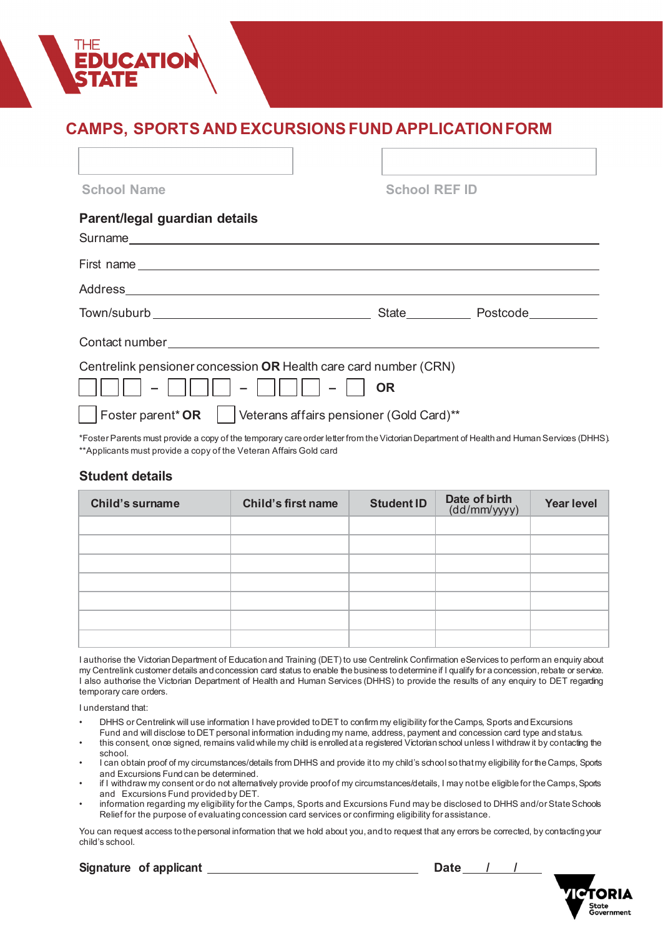# **CAMPS, SPORTS AND EXCURSIONS FUND APPLICATIONFORM**

| <b>School REF ID</b>                                  |                                                                                                                                                                                                                                                                                                   |  |
|-------------------------------------------------------|---------------------------------------------------------------------------------------------------------------------------------------------------------------------------------------------------------------------------------------------------------------------------------------------------|--|
|                                                       |                                                                                                                                                                                                                                                                                                   |  |
|                                                       |                                                                                                                                                                                                                                                                                                   |  |
|                                                       |                                                                                                                                                                                                                                                                                                   |  |
|                                                       | State Postcode Postcone                                                                                                                                                                                                                                                                           |  |
|                                                       |                                                                                                                                                                                                                                                                                                   |  |
| <b>OR</b><br>Veterans affairs pensioner (Gold Card)** |                                                                                                                                                                                                                                                                                                   |  |
|                                                       | First name experience and the series of the series of the series of the series of the series of the series of the series of the series of the series of the series of the series of the series of the series of the series of<br>Centrelink pensioner concession OR Health care card number (CRN) |  |

\*Foster Parents must provide a copy of the temporary care order letter from the Victorian Department of Health and Human Services (DHHS). \*\*Applicants must provide a copy of the Veteran Affairs Gold card

# **Student details**

| <b>Child's surname</b> | <b>Child's first name</b> | <b>Student ID</b> | Date of birth<br>(dd/mm/yyyy) | <b>Year level</b> |
|------------------------|---------------------------|-------------------|-------------------------------|-------------------|
|                        |                           |                   |                               |                   |
|                        |                           |                   |                               |                   |
|                        |                           |                   |                               |                   |
|                        |                           |                   |                               |                   |
|                        |                           |                   |                               |                   |
|                        |                           |                   |                               |                   |
|                        |                           |                   |                               |                   |

I authorise the Victorian Department of Education and Training (DET) to use Centrelink Confirmation eServices to perform an enquiry about my Centrelink customer details and concession card status to enable the business to determine if I qualify for a concession, rebate or service. I also authorise the Victorian Department of Health and Human Services (DHHS) to provide the results of any enquiry to DET regarding temporary care orders.

I understand that:

- DHHS or Centrelink will use information I have provided to DET to confirm my eligibility for the Camps, Sports and Excursions Fund and will disclose to DET personal information induding my name, address, payment and concession card type and status.
- this consent, once signed, remains validwhile my child is enrolled at a registered Victorian school unless I withdraw it by contacting the school.
- I can obtain proof of my circumstances/details from DHHS and provide it to my child's school so that my eligibility for the Camps, Sports and Excursions Fund can be determined.
- if I withdraw my consent or do not alternatively provide proof of my circumstances/details, I may not be eligible for the Camps, Sports and Excursions Fund provided by DET.
- information regarding my eligibility for the Camps, Sports and Excursions Fund may be disclosed to DHHS and/or State Schools Relief for the purpose of evaluating concession card services or confirming eligibility for assistance.

You can request access to the personal information that we hold about you, and to request that any errors be corrected, by contacting your child's school.

**Signature** of applicant <u>Date / / / **Date** / / /</u>